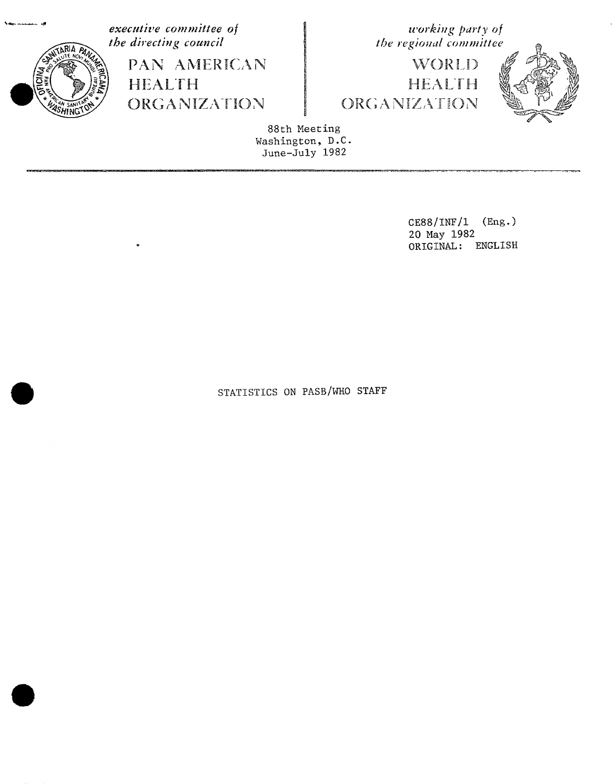

executive committee of the directing council

> PAN AMERICAN **HEALTH** ORGANIZATION

working party of the regional committee

WORLD HEALTH ORGANIZATION



88th Meeting Washington, D.C. June-July 1982

> $CES8/INF/1$  (Eng.) 20 May 1982 ORIGINAL: ENGLISH

STATISTICS ON PASB/WHO STAFF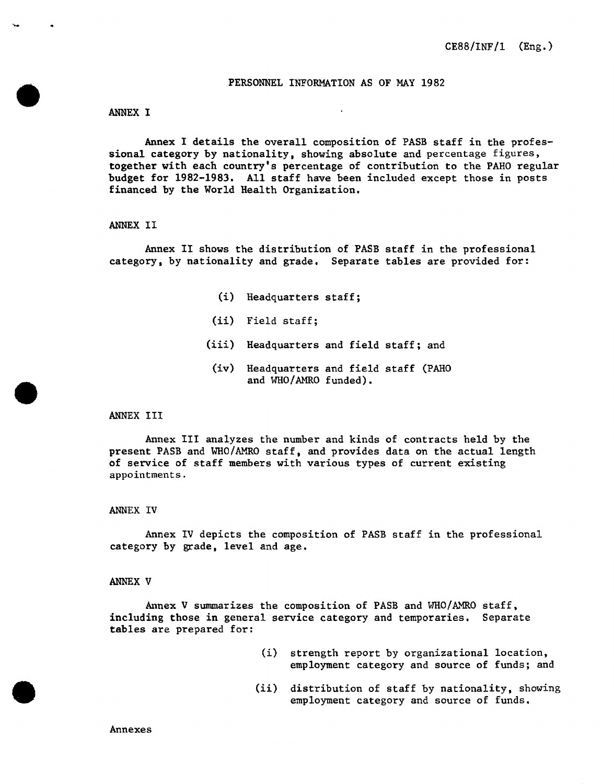### PERSONNEL INFORMATION AS OF MAY 1982

### ANNEX I

A**n**nex I details the overall composition of PASB staff in the professional ca**t**egory by nationality, showing absolute and percentage figures, **t**oge**t**her with each country's percentage of contribution to the PAHO regular budge**t** f**o**r 1982-1983. All staff have **b**een included except those in posts financed by **t**he World Heal**t**h Organization.

#### ANNEX II

Annex II shows the distribution of PASB staff in the professional category, by nationality and grade. Separate tables are provided for:

- (i) Headquarters staff;
- (ii) Field staff;
- (iii) Headquarters and field staff; and
- (iv) Headquar**t**ers and field staff (PAHO and WHO**/**AMRO funded).

### ANNEX III

Annex III analyzes the number and kinds of contrac**t**s held by the present PASB and WHO**/**AMRO staff, and provides data on the actual length of service of staff members with various types of curren**t** existing appointments.

#### ANNEX IV

Annex IV depicts the composition of PASB staff in the professional ca**t**egory by grade, level and age.

#### A**N**NEX V

Annex V summarizes the composition of PASB and WHO/AMRO staff, including those in general service category and temporaries. Separate **t**ables are prepared for:

- (i) strength report by organizational location, employment category and source of funds; and
- (ii) distribution of staff by nationality, showing employment category and source of funds.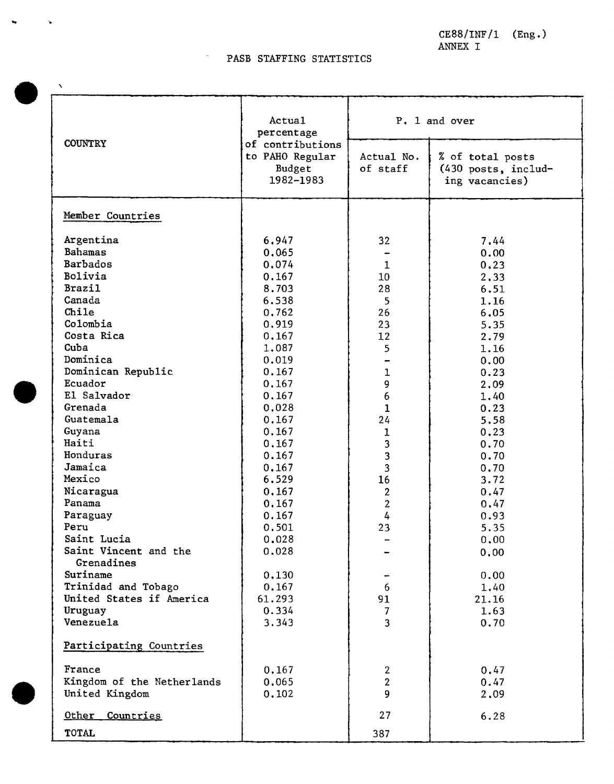CE88**/**INF**/**1 (Eng.) ANNEX I

# PASB STAFFING STATISTICS

 $\bar{\mathbf{v}}$ 

 $\mathbf{v}$ 

|                               | Actual<br>percentage |                         | P. 1 and over       |
|-------------------------------|----------------------|-------------------------|---------------------|
| <b>COUNTRY</b>                | of contributions     |                         |                     |
|                               | to PAHO Regular      | Actual No.              | % of total posts    |
|                               | Budget               | of staff                | (430 posts, includ- |
|                               | 1982-1983            |                         | ing vacancies)      |
| Member Countries              |                      |                         |                     |
|                               |                      |                         |                     |
| Argentina                     | 6.947                | 32                      | 7.44                |
| <b>Bahamas</b>                | 0,065                |                         | 0.00                |
| Barbados                      | 0,074                | 1                       | 0.23                |
| Bolivia                       | 0.167                | 10 <sub>1</sub>         | 2,33                |
| <b>Brazil</b>                 | 8.703                | 28                      | 6.51                |
| Canada                        | 6.538                | 5                       | 1.16                |
| Chile                         | 0.762                | 26                      | 6.05                |
| Colombia<br>Costa Rica        | 0.919                | 23                      | 5.35                |
| Cuba                          | 0.167                | 12                      | 2.79                |
| Dominica                      | 1,087                | 5                       | 1.16                |
|                               | 0.019                |                         | 0.00                |
| Dominican Republic<br>Ecuador | 0.167<br>0.167       | 1<br>9                  | 0.23                |
| El Salvador                   | 0.167                | $\boldsymbol{6}$        | 2.09                |
| Grenada                       | 0.028                | $\mathbf{1}$            | 1.40<br>0.23        |
| Guatemala                     | 0.167                | 24                      | 5.58                |
| Guyana                        | 0.167                |                         | 0.23                |
| Haiti                         | 0.167                | 1<br>3                  | 0.70                |
| Honduras                      | 0.167                | 3                       | 0.70                |
| Jamaica                       | 0.167                | $\overline{\mathbf{3}}$ | 0.70                |
| Mexico                        | 6,529                | 16                      | 3.72                |
| Nicaragua                     | 0.167                | $\overline{2}$          | 0.47                |
| Panama                        | 0.167                | $\overline{2}$          | 0.47                |
| Paraguay                      | 0.167                | $\frac{1}{4}$           | 0.93                |
| Peru                          | 0.501                | 23                      | 5.35                |
| Saint Lucia                   | 0.028                |                         | 0.00                |
| Saint Vincent and the         | 0.028                |                         | 0.00                |
| Grenadines                    |                      |                         |                     |
| Suriname                      | 0.130                |                         | 0.00                |
| Trinidad and Tobago           | 0.167                | 6                       | 1.40                |
| United States if America      | 61.293               | 91                      | 21.16               |
| Uruguay                       | 0.334                | 7                       | 1.63                |
| Venezuela                     | 3.343                | $\overline{\mathbf{3}}$ | 0.70                |
| Participating Countries       |                      |                         |                     |
| France                        | 0.167                | $\overline{2}$          | 0.47                |
| Kingdom of the Netherlands    | 0.065                | $\overline{2}$          | 0.47                |
| United Kingdom                | 0.102                | 9                       | 2.09                |
| Other<br>Countries            |                      | 27                      | 6.28                |
| <b>TOTAL</b>                  |                      | 387                     |                     |
|                               |                      |                         |                     |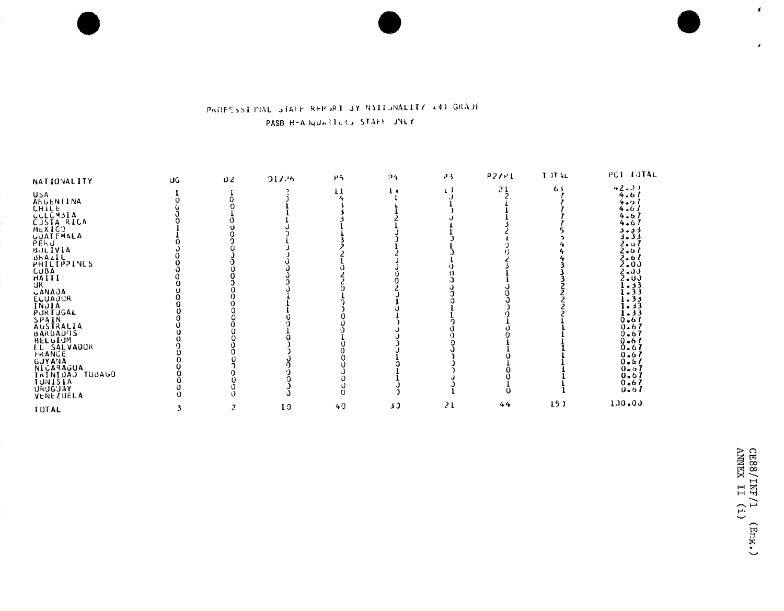# PROFESSIBNAL STAFF REPORT BY NATIONALITY AND GRADE PASB H-ADQUARTERS STAFF JNEY

| <b>NATIONALITY</b>    | UG | υZ | 017.26 | $\mu$ 5      | 94           | P <sub>3</sub> | PZ/I | <b>TOTAL</b>    | PCT TUTAL                  |
|-----------------------|----|----|--------|--------------|--------------|----------------|------|-----------------|----------------------------|
|                       |    |    |        |              |              | ιJ             | 21   | 63              | 42. J)                     |
| <b>USA</b>            |    |    |        | $\mathbf{1}$ | $\mathbf{t}$ |                |      |                 | 4.67                       |
| ARGENTINA             |    |    |        |              |              |                |      |                 | 4.5 $\overline{1}$         |
| CHILE<br>CCLCM31A     |    |    |        |              |              |                |      |                 | 4.61                       |
|                       |    |    |        |              |              |                |      |                 | 4.67                       |
| CJSTA RICA            |    |    |        |              |              |                |      |                 | 4.67                       |
| MEXICT                |    |    |        |              |              |                |      |                 | د د. د                     |
| <b>UUATEMALA</b>      |    |    |        |              |              |                |      |                 | 3.33                       |
| PEKU                  |    |    |        |              |              |                |      |                 | 2.01                       |
| <b>BULIVIA</b>        |    |    |        |              |              |                |      |                 | 2.67                       |
| BRAZIL<br>PHILIPPINES |    |    |        |              |              |                |      |                 | $\frac{2.67}{2.03}$        |
|                       |    |    |        |              |              |                |      |                 |                            |
| CUBA                  |    |    |        |              |              |                |      |                 | 2400                       |
| HAITI                 |    |    |        |              |              |                |      |                 | 2.00                       |
| UK.                   |    |    |        |              |              |                |      |                 | 1.33                       |
| <b>CANAJA</b>         |    |    |        |              |              |                |      |                 | $-33$                      |
| <b>ELUADOR</b>        |    |    |        |              |              |                |      |                 | $-33$                      |
| INJIA                 |    |    |        |              |              |                |      |                 | 3د - ا                     |
| PURTUGAL              |    |    |        |              |              |                |      |                 | 1.33                       |
| SPAIN                 |    |    |        |              |              |                |      |                 | $0.67$<br>$0.67$<br>$0.67$ |
| AUSTRALIA             |    |    |        |              |              |                |      |                 |                            |
| <b>BARBADDS</b>       |    |    |        |              |              |                |      |                 |                            |
| BELUIUM               |    |    |        |              |              |                |      |                 | $0 - 6I$                   |
| EL SALVADUR           |    |    |        |              |              |                |      |                 | 0.67                       |
| FRANCE                |    |    |        |              |              |                |      |                 | 0.67                       |
| <b>GUYANA</b>         |    |    |        |              |              |                |      |                 | 0.61                       |
| NICARAGUA             |    |    |        |              |              |                |      |                 | 0.67                       |
| IRINIDAJ TOBAGO       |    |    |        |              |              |                |      |                 | 0.67                       |
| <b>TUNISIA</b>        |    |    |        |              |              |                |      |                 | 0.67                       |
| <b>URUGUAY</b>        |    |    |        |              |              |                |      |                 | 0.51                       |
| VENEZUELA             |    |    |        |              |              |                |      |                 |                            |
| <b>TUTAL</b>          | 3. | 2  | 10     | 49           | 30           | 21             | 44   | 15 <sub>1</sub> | 100.00                     |

 $\mathbf{r}$ 

 $\mathbf{r}$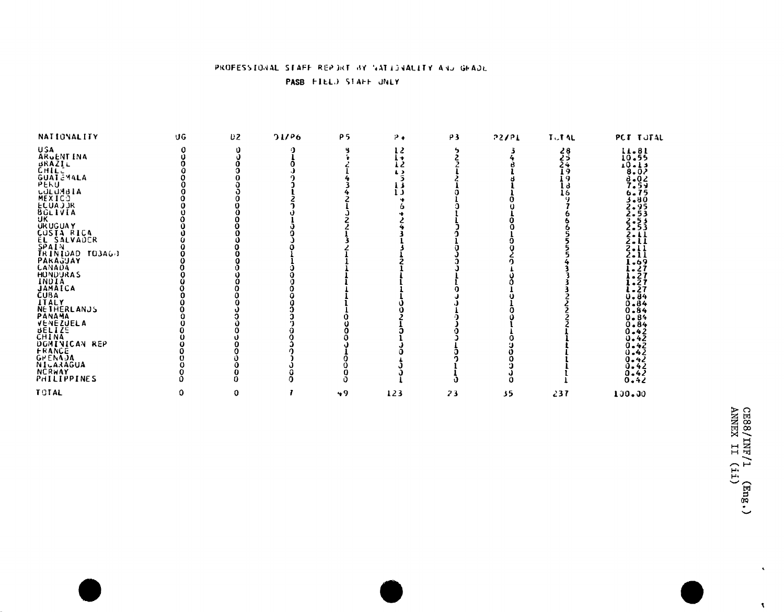## PROFESSIONAL STAFF REPORT BY NATIONALITY AND GEADL PASB FIELD STAFF UNLY

| NATIONALITY                                                                                                                                                                                                                                                                | UG | <b>D2</b> | 21/96 | <b>P5</b> | $P +$ | ρ3 | 55151 | <b>TUTAL</b>      | PCT TUTAL                                                                   |
|----------------------------------------------------------------------------------------------------------------------------------------------------------------------------------------------------------------------------------------------------------------------------|----|-----------|-------|-----------|-------|----|-------|-------------------|-----------------------------------------------------------------------------|
| USA<br>ARVENT INA                                                                                                                                                                                                                                                          |    |           |       |           | 12    |    |       | 283<br>234<br>249 | $11 - 81$<br>$10 - 55$                                                      |
| ARGENTINA<br>CHALIL<br>CHALIL<br>GUATEMALA<br>GUATEMALA<br>MEXICO<br>MEXICO<br>MEXICO<br>LECUADURA<br>UKUGUAY<br>UKUGUAY<br>CANADAY<br>EL SALVADCR<br>SPAINDAD TO3AG)<br>PARAGUAY<br>PARAGUAY<br>MONADAY<br>MONADAY<br>MONADAY<br>MONADAY<br>MONADAY<br>MONADAY<br>MONADAY |    |           |       |           | $1 +$ |    |       |                   |                                                                             |
|                                                                                                                                                                                                                                                                            |    |           |       |           | 12    |    |       |                   | 10-13                                                                       |
|                                                                                                                                                                                                                                                                            |    |           |       |           | L J   |    |       |                   | 8.02                                                                        |
|                                                                                                                                                                                                                                                                            |    |           |       |           |       |    |       | 19                | $3.0295$<br>$7.5405$<br>$3.8953$<br>$2.53$                                  |
|                                                                                                                                                                                                                                                                            |    |           |       |           |       |    |       | l d               |                                                                             |
|                                                                                                                                                                                                                                                                            |    |           |       |           | د ا   |    |       | 16                |                                                                             |
|                                                                                                                                                                                                                                                                            |    |           |       |           |       |    |       |                   |                                                                             |
|                                                                                                                                                                                                                                                                            |    |           |       |           |       |    |       |                   |                                                                             |
|                                                                                                                                                                                                                                                                            |    |           |       |           |       |    |       |                   |                                                                             |
|                                                                                                                                                                                                                                                                            |    |           |       |           |       |    |       |                   | 2.53<br>2.53<br>2.11<br>2.11                                                |
|                                                                                                                                                                                                                                                                            |    |           |       |           |       |    |       |                   |                                                                             |
|                                                                                                                                                                                                                                                                            |    |           |       |           |       |    |       |                   |                                                                             |
|                                                                                                                                                                                                                                                                            |    |           |       |           |       |    |       |                   |                                                                             |
|                                                                                                                                                                                                                                                                            |    |           |       |           |       |    |       |                   | $\frac{2}{2}$ :                                                             |
|                                                                                                                                                                                                                                                                            |    |           |       |           |       |    |       |                   |                                                                             |
|                                                                                                                                                                                                                                                                            |    |           |       |           |       |    |       |                   | $\begin{array}{c} 1.69 \\ 1.27 \\ 1.27 \\ 1.27 \\ 1.27 \\ 0.84 \end{array}$ |
|                                                                                                                                                                                                                                                                            |    |           |       |           |       |    |       |                   |                                                                             |
|                                                                                                                                                                                                                                                                            |    |           |       |           |       |    |       |                   |                                                                             |
|                                                                                                                                                                                                                                                                            |    |           |       |           |       |    |       |                   |                                                                             |
|                                                                                                                                                                                                                                                                            |    |           |       |           |       |    |       |                   |                                                                             |
|                                                                                                                                                                                                                                                                            |    |           |       |           |       |    |       |                   |                                                                             |
|                                                                                                                                                                                                                                                                            |    |           |       |           |       |    |       |                   | $0 - 84$                                                                    |
|                                                                                                                                                                                                                                                                            |    |           |       |           |       |    |       |                   | $0 - 84$                                                                    |
|                                                                                                                                                                                                                                                                            |    |           |       |           |       |    |       |                   |                                                                             |
|                                                                                                                                                                                                                                                                            |    |           |       |           |       |    |       |                   | $0.84$<br>$0.84$                                                            |
| INDIA<br>JAMAICA<br>CUBA<br>ITALY<br>PANAMA<br>PANAMA<br>PANAMA<br>CHINA<br>CUBAINICAN REP<br>DOMINICAN REP<br>CUBAINICAN REP                                                                                                                                              |    |           |       |           |       |    |       |                   | 0.42                                                                        |
|                                                                                                                                                                                                                                                                            |    |           |       |           |       |    |       |                   | 0.42                                                                        |
|                                                                                                                                                                                                                                                                            |    |           |       |           |       |    |       |                   | 0.42                                                                        |
|                                                                                                                                                                                                                                                                            |    |           |       |           |       |    |       |                   | 0.42                                                                        |
| GPENAJA                                                                                                                                                                                                                                                                    |    |           |       |           |       |    |       |                   | 0.42                                                                        |
| NICARAGUA                                                                                                                                                                                                                                                                  |    |           |       |           |       |    |       |                   |                                                                             |
|                                                                                                                                                                                                                                                                            |    |           |       |           |       |    |       |                   | 0.42                                                                        |
| NČŘWAY<br>PHILIPPINES                                                                                                                                                                                                                                                      |    |           |       |           |       |    |       |                   | 0.42                                                                        |
| <b>TOTAL</b>                                                                                                                                                                                                                                                               | 0  | 0         |       | $+9$      | 123   | 23 | 35    | 237               | 100.00                                                                      |

 $\mathbf{v}$ 

 $\Lambda$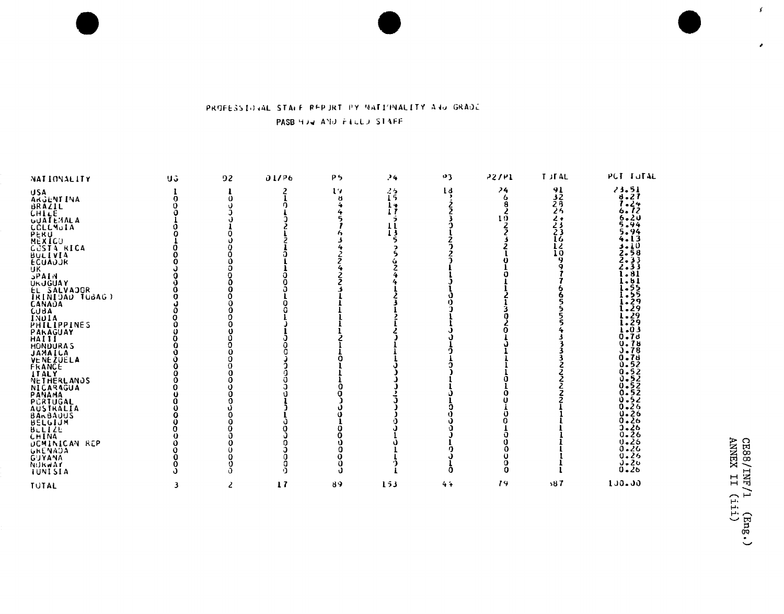# PROFESSIONAL STALE REPURT BY NATIONALITY AND GRADE PASB HOW AND FILLO STAFF

| NATIONALITY                                                                                                                                                                                                                                                                                                                                                                                                                                                                                                | UG. | 92                                                                                                                 | 01/P6 | P5            | .4                       | 123            | 72/11              | <b>T</b> JFAL                                      | PCT TUTAL                                                                                                                                                                                                                                                                                                                                                                                                     |
|------------------------------------------------------------------------------------------------------------------------------------------------------------------------------------------------------------------------------------------------------------------------------------------------------------------------------------------------------------------------------------------------------------------------------------------------------------------------------------------------------------|-----|--------------------------------------------------------------------------------------------------------------------|-------|---------------|--------------------------|----------------|--------------------|----------------------------------------------------|---------------------------------------------------------------------------------------------------------------------------------------------------------------------------------------------------------------------------------------------------------------------------------------------------------------------------------------------------------------------------------------------------------------|
| USA<br>Argent Ina<br>BRAZIL<br>CHILE<br>UUATEMALA<br><b>CCLCMUIA</b><br>PERU<br>MEXICO<br>CŪSTA RICA<br><b>BULLVIA</b><br>ECUADJR<br>UK.<br><b>MIA4c</b><br>UKUĞUAY<br>EL SALVAJOR<br>IRINIDAD TUBAG)<br>CANADA<br>CUBA<br>INUIA<br>PHILIPPINES<br>PARAGUAY<br>HAIII<br>HONDURAS<br>VENEZUELA<br>FRANCE<br>ITALY<br>NETHERLANDS<br>NICARAGUA<br>PANAMA<br>PCRTUGAL<br>AUSTRALIA<br><b>BARBAUUS</b><br><b>BELGIJM</b><br>BELGIJM<br>CHINA<br>DOMINICAN REP<br><b>GRENADA</b><br>GUYANA<br>NURWAY<br>IUNISIA | o   | 0<br>0<br>0<br>Ō<br>Ó<br>0<br>o<br>0<br>O<br>Ŏ<br>0<br>$\Omega$<br>O<br>Ò<br>0<br>0<br>a<br>0<br>O<br>0<br>0<br>Ő. | ١J    | 19<br>н<br>J. | $^{25}_{15}$<br>14<br>13 | 1 <sub>d</sub> | 74<br>6<br>10<br>0 | $\frac{91}{32}$<br>$\frac{28}{25}$<br>2+<br>233626 | $\frac{23.51}{9.27}$<br>$\frac{7.24}{6.72}$<br>$6 - 20$<br>5.94<br>5.94<br>4.L3<br>$\frac{1}{2}$ , $\frac{1}{5}$<br>2.33<br>Z.33<br>l . 81<br>1.51<br>ī. š5<br>1.55<br>[.29<br>[.29<br><u>i - 29</u><br>$1.29$<br>$1.03$<br>$0.78$<br>$0.78$<br>$0.78$<br>0.78<br>0.52<br>$0.522$<br>$0.522$<br>$0.522$<br>$0.522$<br>$0.532$<br>0.26<br>$0.26$<br>$0.26$<br>$0 - 26$<br>$0.26$<br>$0.26$<br>$0 - 20$<br>0.26 |
| <b>TUTAL</b>                                                                                                                                                                                                                                                                                                                                                                                                                                                                                               | 3   | 2                                                                                                                  | 17    | 89            | 153                      | 44             | 79                 | 387                                                | 100.00                                                                                                                                                                                                                                                                                                                                                                                                        |

 $\vec{r}$ 

 $\lambda$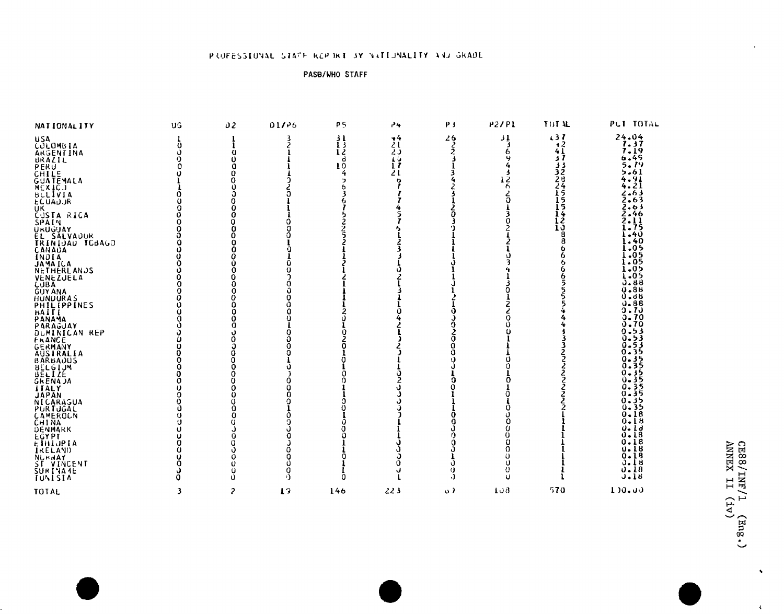## PROFESSIONAL STAFF REPORT BY NATIONALITY AND GRADE

### PASB/WHO STAFF

| 137<br>$\frac{24.04}{7.37}$<br>$\frac{31}{3}$<br>$\begin{array}{c} 26 \\ 2 \\ 2 \end{array}$<br>44<br>$\frac{31}{13}$<br><b>USA</b><br>21<br>$+2$<br>COLOMBIA<br>ARGENTINA<br>BRAZIL<br>PERU<br>CHILE<br>$\Omega$<br>6<br>41<br>$\frac{12}{d}$<br>20<br>O<br>6.49<br>s 1<br>15<br>5.19<br>10<br>$\bf{1}$<br>33<br>5.61<br>32<br>21<br>O<br>ខ្ពុ<br>28<br>$\frac{4.91}{4.21}$<br>o<br>ר<br>24<br>MEXICJ<br>BLLIVIA<br>د 6ء<br>5<br>15<br>15<br>2.63<br><b>ECUADJR</b><br>2.63<br>ÜΚ.<br>2.46<br>$\frac{1}{12}$<br><b>CUSTA RICA</b><br>2.11<br>SPAIN<br>1.75<br>URÜĞÜAY<br>EL SALVAUUR<br>TRINIQAU TCBAGO<br>$-40$<br>i.40<br>8<br>l.05<br>CANADA<br>INDIA<br>JAMAICA<br>NETHERLANDS<br>i .os<br>[.ö5<br>i.o><br>I.05<br>NENEZJELA<br>CUBA<br>GUYANA<br>HUNDURAS<br>HAITLIPPINES<br>HAITLIPPANA<br>PARAGJAY<br>PARAGJAY<br>ь<br>J.88<br>0.88<br>0.88<br>0.70<br><b>J.70</b><br>Ω<br>o. 70<br>0.53<br>DUMINICAN REP<br>0.53<br><b>FRANCE</b><br>0.53<br>0.35<br>AUSTRALIA<br>BARBAJUS<br>BELGIJM<br>BELIZE.<br>0.35<br>0.35<br>0.35<br><b>GRENAJA</b><br>35<br>ITALY<br>0.35<br><b>TAPAN<br/>NICARAGUA<br/>PURTUGAL<br/>CAMEROLN<br/>CHINA<br/>DENMARK</b><br>0.35<br>0.35<br>0.18<br>0.18<br>0. Ld<br>$0 - 18$<br>EĞYPT<br>ETHIJPIA<br>0.18<br>o<br>$\Omega$<br>u. i 8<br>0<br>0.18<br>Ω<br><b>NURWAY</b><br>ST VINCENT<br>SURINA4E<br>TUNISTA<br>0.18<br>Ü<br>Ü<br>0.18<br>o<br>o<br>u<br>$J - 18$<br>υ<br>Ű<br>n<br>Ω | NATIONALITY      | UG | 02             | 01/26 | ρ5  | 24  | P3        | P2/P1 | TUT AL | PUT TOTAL    |
|------------------------------------------------------------------------------------------------------------------------------------------------------------------------------------------------------------------------------------------------------------------------------------------------------------------------------------------------------------------------------------------------------------------------------------------------------------------------------------------------------------------------------------------------------------------------------------------------------------------------------------------------------------------------------------------------------------------------------------------------------------------------------------------------------------------------------------------------------------------------------------------------------------------------------------------------------------------------------------------------------------------------------------------------------------------------------------------------------------------------------------------------------------------------------------------------------------------------------------------------------------------------------------------------------------------------------------------------------------------------------------------------------------------------|------------------|----|----------------|-------|-----|-----|-----------|-------|--------|--------------|
|                                                                                                                                                                                                                                                                                                                                                                                                                                                                                                                                                                                                                                                                                                                                                                                                                                                                                                                                                                                                                                                                                                                                                                                                                                                                                                                                                                                                                        |                  |    |                |       |     |     |           |       |        |              |
|                                                                                                                                                                                                                                                                                                                                                                                                                                                                                                                                                                                                                                                                                                                                                                                                                                                                                                                                                                                                                                                                                                                                                                                                                                                                                                                                                                                                                        |                  |    |                |       |     |     |           |       |        |              |
|                                                                                                                                                                                                                                                                                                                                                                                                                                                                                                                                                                                                                                                                                                                                                                                                                                                                                                                                                                                                                                                                                                                                                                                                                                                                                                                                                                                                                        |                  |    |                |       |     |     |           |       |        |              |
|                                                                                                                                                                                                                                                                                                                                                                                                                                                                                                                                                                                                                                                                                                                                                                                                                                                                                                                                                                                                                                                                                                                                                                                                                                                                                                                                                                                                                        |                  |    |                |       |     |     |           |       |        |              |
|                                                                                                                                                                                                                                                                                                                                                                                                                                                                                                                                                                                                                                                                                                                                                                                                                                                                                                                                                                                                                                                                                                                                                                                                                                                                                                                                                                                                                        |                  |    |                |       |     |     |           |       |        |              |
|                                                                                                                                                                                                                                                                                                                                                                                                                                                                                                                                                                                                                                                                                                                                                                                                                                                                                                                                                                                                                                                                                                                                                                                                                                                                                                                                                                                                                        | <b>GUATEMALA</b> |    |                |       |     |     |           |       |        |              |
|                                                                                                                                                                                                                                                                                                                                                                                                                                                                                                                                                                                                                                                                                                                                                                                                                                                                                                                                                                                                                                                                                                                                                                                                                                                                                                                                                                                                                        |                  |    |                |       |     |     |           |       |        |              |
|                                                                                                                                                                                                                                                                                                                                                                                                                                                                                                                                                                                                                                                                                                                                                                                                                                                                                                                                                                                                                                                                                                                                                                                                                                                                                                                                                                                                                        |                  |    |                |       |     |     |           |       |        |              |
|                                                                                                                                                                                                                                                                                                                                                                                                                                                                                                                                                                                                                                                                                                                                                                                                                                                                                                                                                                                                                                                                                                                                                                                                                                                                                                                                                                                                                        |                  |    |                |       |     |     |           |       |        |              |
|                                                                                                                                                                                                                                                                                                                                                                                                                                                                                                                                                                                                                                                                                                                                                                                                                                                                                                                                                                                                                                                                                                                                                                                                                                                                                                                                                                                                                        |                  |    |                |       |     |     |           |       |        |              |
|                                                                                                                                                                                                                                                                                                                                                                                                                                                                                                                                                                                                                                                                                                                                                                                                                                                                                                                                                                                                                                                                                                                                                                                                                                                                                                                                                                                                                        |                  |    |                |       |     |     |           |       |        |              |
|                                                                                                                                                                                                                                                                                                                                                                                                                                                                                                                                                                                                                                                                                                                                                                                                                                                                                                                                                                                                                                                                                                                                                                                                                                                                                                                                                                                                                        |                  |    |                |       |     |     |           |       |        |              |
|                                                                                                                                                                                                                                                                                                                                                                                                                                                                                                                                                                                                                                                                                                                                                                                                                                                                                                                                                                                                                                                                                                                                                                                                                                                                                                                                                                                                                        |                  |    |                |       |     |     |           |       |        |              |
|                                                                                                                                                                                                                                                                                                                                                                                                                                                                                                                                                                                                                                                                                                                                                                                                                                                                                                                                                                                                                                                                                                                                                                                                                                                                                                                                                                                                                        |                  |    |                |       |     |     |           |       |        |              |
|                                                                                                                                                                                                                                                                                                                                                                                                                                                                                                                                                                                                                                                                                                                                                                                                                                                                                                                                                                                                                                                                                                                                                                                                                                                                                                                                                                                                                        |                  |    |                |       |     |     |           |       |        |              |
|                                                                                                                                                                                                                                                                                                                                                                                                                                                                                                                                                                                                                                                                                                                                                                                                                                                                                                                                                                                                                                                                                                                                                                                                                                                                                                                                                                                                                        |                  |    |                |       |     |     |           |       |        |              |
|                                                                                                                                                                                                                                                                                                                                                                                                                                                                                                                                                                                                                                                                                                                                                                                                                                                                                                                                                                                                                                                                                                                                                                                                                                                                                                                                                                                                                        |                  |    |                |       |     |     |           |       |        |              |
|                                                                                                                                                                                                                                                                                                                                                                                                                                                                                                                                                                                                                                                                                                                                                                                                                                                                                                                                                                                                                                                                                                                                                                                                                                                                                                                                                                                                                        |                  |    |                |       |     |     |           |       |        |              |
|                                                                                                                                                                                                                                                                                                                                                                                                                                                                                                                                                                                                                                                                                                                                                                                                                                                                                                                                                                                                                                                                                                                                                                                                                                                                                                                                                                                                                        |                  |    |                |       |     |     |           |       |        |              |
|                                                                                                                                                                                                                                                                                                                                                                                                                                                                                                                                                                                                                                                                                                                                                                                                                                                                                                                                                                                                                                                                                                                                                                                                                                                                                                                                                                                                                        |                  |    |                |       |     |     |           |       |        |              |
|                                                                                                                                                                                                                                                                                                                                                                                                                                                                                                                                                                                                                                                                                                                                                                                                                                                                                                                                                                                                                                                                                                                                                                                                                                                                                                                                                                                                                        |                  |    |                |       |     |     |           |       |        |              |
|                                                                                                                                                                                                                                                                                                                                                                                                                                                                                                                                                                                                                                                                                                                                                                                                                                                                                                                                                                                                                                                                                                                                                                                                                                                                                                                                                                                                                        |                  |    |                |       |     |     |           |       |        |              |
|                                                                                                                                                                                                                                                                                                                                                                                                                                                                                                                                                                                                                                                                                                                                                                                                                                                                                                                                                                                                                                                                                                                                                                                                                                                                                                                                                                                                                        |                  |    |                |       |     |     |           |       |        |              |
|                                                                                                                                                                                                                                                                                                                                                                                                                                                                                                                                                                                                                                                                                                                                                                                                                                                                                                                                                                                                                                                                                                                                                                                                                                                                                                                                                                                                                        |                  |    |                |       |     |     |           |       |        |              |
|                                                                                                                                                                                                                                                                                                                                                                                                                                                                                                                                                                                                                                                                                                                                                                                                                                                                                                                                                                                                                                                                                                                                                                                                                                                                                                                                                                                                                        |                  |    |                |       |     |     |           |       |        |              |
|                                                                                                                                                                                                                                                                                                                                                                                                                                                                                                                                                                                                                                                                                                                                                                                                                                                                                                                                                                                                                                                                                                                                                                                                                                                                                                                                                                                                                        |                  |    |                |       |     |     |           |       |        |              |
|                                                                                                                                                                                                                                                                                                                                                                                                                                                                                                                                                                                                                                                                                                                                                                                                                                                                                                                                                                                                                                                                                                                                                                                                                                                                                                                                                                                                                        |                  |    |                |       |     |     |           |       |        |              |
|                                                                                                                                                                                                                                                                                                                                                                                                                                                                                                                                                                                                                                                                                                                                                                                                                                                                                                                                                                                                                                                                                                                                                                                                                                                                                                                                                                                                                        |                  |    |                |       |     |     |           |       |        |              |
|                                                                                                                                                                                                                                                                                                                                                                                                                                                                                                                                                                                                                                                                                                                                                                                                                                                                                                                                                                                                                                                                                                                                                                                                                                                                                                                                                                                                                        |                  |    |                |       |     |     |           |       |        |              |
|                                                                                                                                                                                                                                                                                                                                                                                                                                                                                                                                                                                                                                                                                                                                                                                                                                                                                                                                                                                                                                                                                                                                                                                                                                                                                                                                                                                                                        |                  |    |                |       |     |     |           |       |        |              |
|                                                                                                                                                                                                                                                                                                                                                                                                                                                                                                                                                                                                                                                                                                                                                                                                                                                                                                                                                                                                                                                                                                                                                                                                                                                                                                                                                                                                                        |                  |    |                |       |     |     |           |       |        |              |
|                                                                                                                                                                                                                                                                                                                                                                                                                                                                                                                                                                                                                                                                                                                                                                                                                                                                                                                                                                                                                                                                                                                                                                                                                                                                                                                                                                                                                        |                  |    |                |       |     |     |           |       |        |              |
|                                                                                                                                                                                                                                                                                                                                                                                                                                                                                                                                                                                                                                                                                                                                                                                                                                                                                                                                                                                                                                                                                                                                                                                                                                                                                                                                                                                                                        |                  |    |                |       |     |     |           |       |        |              |
|                                                                                                                                                                                                                                                                                                                                                                                                                                                                                                                                                                                                                                                                                                                                                                                                                                                                                                                                                                                                                                                                                                                                                                                                                                                                                                                                                                                                                        |                  |    |                |       |     |     |           |       |        |              |
|                                                                                                                                                                                                                                                                                                                                                                                                                                                                                                                                                                                                                                                                                                                                                                                                                                                                                                                                                                                                                                                                                                                                                                                                                                                                                                                                                                                                                        |                  |    |                |       |     |     |           |       |        |              |
|                                                                                                                                                                                                                                                                                                                                                                                                                                                                                                                                                                                                                                                                                                                                                                                                                                                                                                                                                                                                                                                                                                                                                                                                                                                                                                                                                                                                                        |                  |    |                |       |     |     |           |       |        |              |
|                                                                                                                                                                                                                                                                                                                                                                                                                                                                                                                                                                                                                                                                                                                                                                                                                                                                                                                                                                                                                                                                                                                                                                                                                                                                                                                                                                                                                        |                  |    |                |       |     |     |           |       |        |              |
|                                                                                                                                                                                                                                                                                                                                                                                                                                                                                                                                                                                                                                                                                                                                                                                                                                                                                                                                                                                                                                                                                                                                                                                                                                                                                                                                                                                                                        | IRELAND          |    |                |       |     |     |           |       |        |              |
|                                                                                                                                                                                                                                                                                                                                                                                                                                                                                                                                                                                                                                                                                                                                                                                                                                                                                                                                                                                                                                                                                                                                                                                                                                                                                                                                                                                                                        |                  |    |                |       |     |     |           |       |        |              |
|                                                                                                                                                                                                                                                                                                                                                                                                                                                                                                                                                                                                                                                                                                                                                                                                                                                                                                                                                                                                                                                                                                                                                                                                                                                                                                                                                                                                                        |                  |    |                |       |     |     |           |       |        |              |
|                                                                                                                                                                                                                                                                                                                                                                                                                                                                                                                                                                                                                                                                                                                                                                                                                                                                                                                                                                                                                                                                                                                                                                                                                                                                                                                                                                                                                        |                  |    |                |       |     |     |           |       |        |              |
|                                                                                                                                                                                                                                                                                                                                                                                                                                                                                                                                                                                                                                                                                                                                                                                                                                                                                                                                                                                                                                                                                                                                                                                                                                                                                                                                                                                                                        | TOTAL            | 3  | $\mathfrak{p}$ | 19    | 146 | 223 | $\circ$ ) | 108   | 570    | $1.10 - 0.0$ |

 $\hat{\textbf{v}}$ 

 $\lambda$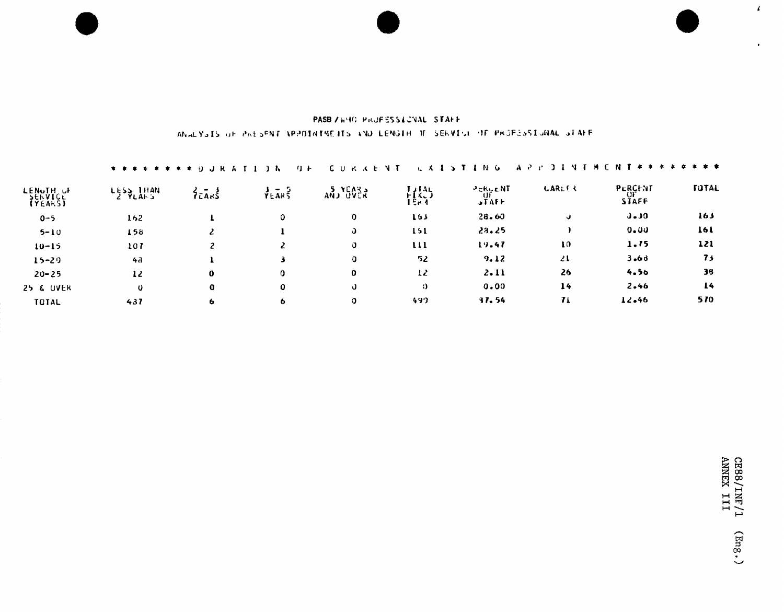## PASB ZWHO PROFESSIONAL STAFF ANALYSIS OF PAESENT VPPOINTMENTS AND LENGTH OF SERVICE OF PROFESSIONAL STAFF

|                      | * * * * * * * * * 0 J R A |          | 4 U F<br>- 6   | cυ<br><b>COLLECT</b> | V                               | - N - G<br>AР                 |        | <b>NT # #</b>                 | * * *        |
|----------------------|---------------------------|----------|----------------|----------------------|---------------------------------|-------------------------------|--------|-------------------------------|--------------|
| LENGTH OF<br>(YEARS) | LESS THAN<br>$2.9L$ Ah S  | 2545     | $\frac{3}{16}$ | $ANJ$ $SUER$         | <b>LJTAL</b><br>トーメーフ<br>I Er 4 | PERUENT<br>้บ<br><b>STAFF</b> | LARLER | PERCENT<br>UF<br><b>STAFF</b> | <b>TUTAL</b> |
| $0 - 5$              | 162                       |          | ٥              | 0                    | 163                             | 28.60                         | v      | $J - J$                       | 163          |
| $5 - 10$             | 158                       | 2        |                | Û                    | 151                             | 23.25                         |        | 0.00                          | 161          |
| $10 - 15$            | 107                       | 2        |                | O                    | $\mathbf{u}$                    | 19.47                         | 10     | 1.75                          | 121          |
| $15 - 20$            | 43                        |          |                | o                    | 52                              | 9.12                          | 21     | 3.66                          | 73           |
| $20 - 25$            | 12                        | $\bf o$  | o              | 0                    | 12                              | 2.11                          | 26     | 4.56                          | 38           |
| <b>25 &amp; UVER</b> | $\mathbf 0$               | $\bf{0}$ | 0              | J                    | $\Omega$                        | 0.00                          | 14     | 2.46                          | 14           |
| TOTAL                | 437                       | 6        | ь              | O                    | 497                             | 31.54                         | 71     | 12.46                         | 570          |

 $\mathbf{r}$ 

 $\bullet$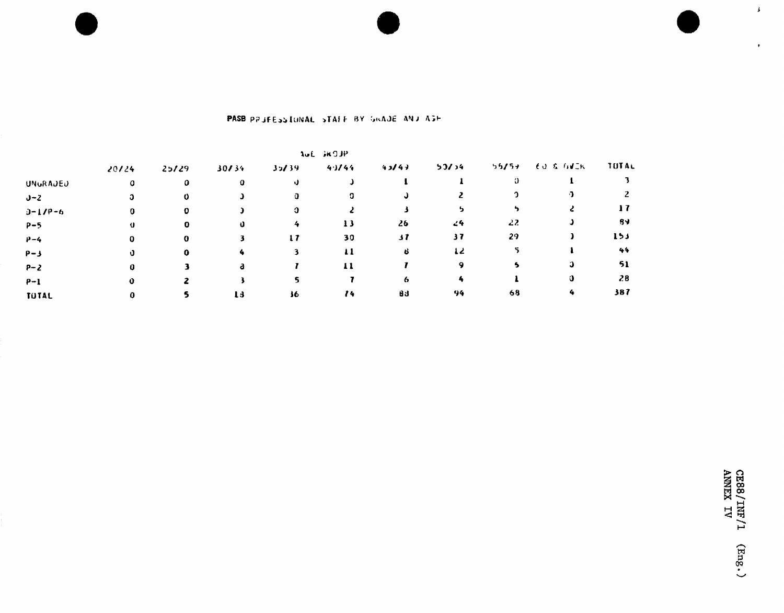|                 |       |       |       |       | AUL JKOJP    |       |       |       |                      |       |
|-----------------|-------|-------|-------|-------|--------------|-------|-------|-------|----------------------|-------|
|                 | 20124 | 25/29 | 30/34 | 35/39 | 4.1144       | 43/47 | 53/34 | 55/57 | <b>EU &amp; GUIN</b> | TUTAL |
| <b>UNGRAJED</b> | O     | 0     | 0     | υ     |              |       |       | О     |                      |       |
| $J-Z$           |       |       |       |       |              |       |       |       |                      |       |
| $0 - 1/P - 6$   | 0     | 0     |       |       |              |       |       |       |                      | 17    |
| $P-5$           | Ü     |       |       | 4     | 13           | 26    | 24    | 22    |                      | -84   |
| $P - 4$         | 0     | 0     |       | 17    | 30           | 37    | 37    | 29    |                      | 153   |
| $P - 3$         |       |       |       |       | $\mathbf{u}$ | -8    | 12    |       |                      | 44    |
| $P - 2$         |       |       | 8     |       | 11           |       |       |       |                      | 51    |
| $P-1$           |       |       |       |       |              | o.    |       |       |                      | 28    |
| <b>TOTAL</b>    |       |       | 13    | 36    | 14           | 83    | 94    | 68    |                      | 387   |

## PASB PRUFESSIONAL STAFF BY GRADE AND ASH

 $\bar{\mathbf{r}}$ 

 $\mathbf{r}^{\top}$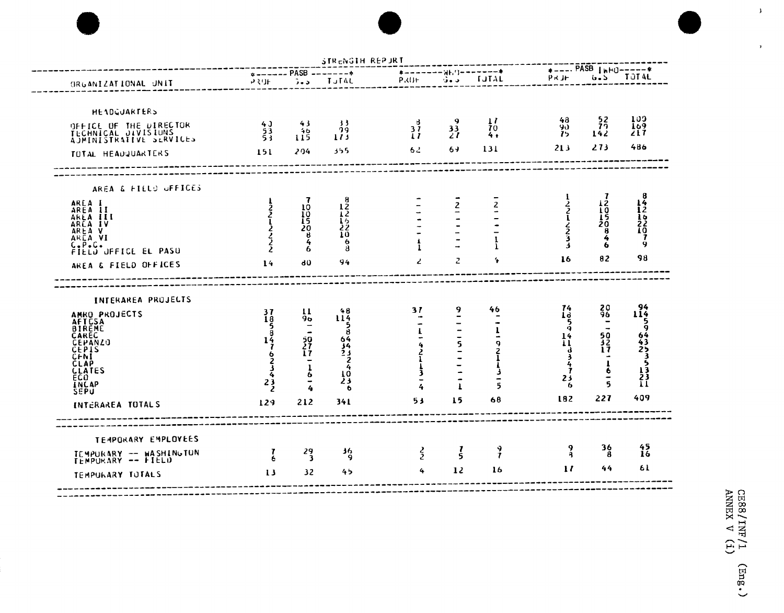|                                                                                                                                                                                                                                        |                                                             |                                                         | $*$ ------ PASB -------*                                                             |                                   | ネーーーーーーー 冒れ ()ーーーーーーーキ       |                             |                                                                                       | $+$ ---- PASB $\mu$ HU-----+                    |                             |
|----------------------------------------------------------------------------------------------------------------------------------------------------------------------------------------------------------------------------------------|-------------------------------------------------------------|---------------------------------------------------------|--------------------------------------------------------------------------------------|-----------------------------------|------------------------------|-----------------------------|---------------------------------------------------------------------------------------|-------------------------------------------------|-----------------------------|
| ORGANIZATIONAL UNIT                                                                                                                                                                                                                    | 939日                                                        | $3 - 5$                                                 | <b>TUTAL</b>                                                                         | PRUE -                            | George Co                    | <b>TUTAL</b>                | PRJE                                                                                  |                                                 | G.S TOTAL                   |
| HEADGUARTERS                                                                                                                                                                                                                           |                                                             |                                                         |                                                                                      |                                   |                              |                             |                                                                                       |                                                 | 100                         |
| OFFICE OF THE DIRECTOR<br>TECHNICAL DIVISIUNS<br>AJMINISTRATIVE SERVICES                                                                                                                                                               | $^{43}_{53}$<br>53                                          | 43<br>40 <sub>o</sub><br>115                            | -33<br>99<br>113                                                                     | $\frac{3}{1}$                     | $\frac{33}{27}$              | $\mathbf{1}$<br>70<br>4+    | 48<br>90.<br>75                                                                       | $\frac{52}{7}$<br>142                           | 169<br>217                  |
| TOTAL HEADQUARTERS                                                                                                                                                                                                                     | 151                                                         | 204                                                     | 355                                                                                  | 62.                               | 69.                          | 131                         | 213                                                                                   | 273                                             | 486                         |
| AREA & FIELD OFFICES                                                                                                                                                                                                                   |                                                             |                                                         |                                                                                      |                                   |                              |                             |                                                                                       |                                                 |                             |
| AREA I<br>AREA II                                                                                                                                                                                                                      |                                                             | 10                                                      | 8<br>$\frac{12}{12}$                                                                 |                                   | $\mathbf{z}$                 |                             | 1                                                                                     | 7<br>$\frac{12}{10}$<br>$\frac{1}{20}$          | 8426267                     |
| AREA III<br>ARLA IV<br>AREA V                                                                                                                                                                                                          | してんしょくく                                                     | IŎ<br>L5<br>20                                          | 22<br>10                                                                             |                                   |                              |                             | 221223                                                                                | Õ                                               |                             |
| AREA VI<br>$C - P - C -$                                                                                                                                                                                                               |                                                             | θ<br>4<br>6                                             | 6<br>8                                                                               |                                   |                              | ı                           | Δ                                                                                     | 4<br>6                                          | 9                           |
| <b>FIELD OFFICE EL PASU</b><br>AREA & FIELD OFFICES                                                                                                                                                                                    | 14                                                          | <b>dÜ</b>                                               | 94                                                                                   | Ź.                                | $\mathbf{z}$                 | ÷                           | 16                                                                                    | 82                                              | 98                          |
| INTERAREA PROJECTS<br>AMRO PROJECTS<br><b>AFTCSA</b><br><b>BIREME</b><br><b>CAREC</b><br><b>CEPANZO</b><br><b>CEPIS</b><br>CFNI<br><b>CLAP</b><br><b>CLATES</b><br>ECO <sup>1</sup><br>INCAP<br><b>SEPU</b><br><b>INTERAREA TOTALS</b> | 37<br>ī8<br>$\frac{5}{14}$<br>てんてきん<br>$\frac{1}{2}$<br>129 | 11<br>96<br>50<br>27<br>17<br>$\frac{1}{6}$<br>4<br>212 | 48<br>114<br>5<br>8<br>$64$<br>$34$<br>$23$<br>$\frac{2}{4}$<br>10<br>23<br>ь<br>341 | 31<br>L<br>4<br>l<br>}<br>3<br>53 | 9<br>5<br>$\mathbf{I}$<br>15 | 46<br>ı<br>り21よう<br>5<br>68 | $\frac{74}{13}$<br>$\bar{5}$<br>$\frac{14}{11}$<br>ત<br>3<br>4<br>Ť<br>23<br>6<br>182 | $^{20}_{96}$<br>50<br>32<br>17<br>6<br>5<br>227 | 114<br>9<br>64235331<br>409 |
| TEMPORARY EMPLOYEES                                                                                                                                                                                                                    |                                                             |                                                         |                                                                                      |                                   |                              |                             |                                                                                       |                                                 |                             |
| TEMPURARY -- HASHINGTON<br>TEMPURARY -- FIELD                                                                                                                                                                                          | $\frac{7}{6}$                                               | $\frac{29}{3}$                                          | 36<br>9                                                                              | $\frac{2}{2}$                     | $\frac{7}{5}$                | $\frac{9}{7}$               | 9.<br>Ą                                                                               | 36<br>8                                         | $^{45}_{16}$                |
| TEMPURARY TUTALS                                                                                                                                                                                                                       | 13                                                          | 32                                                      | 45                                                                                   | 4                                 | 12                           | 16                          | $\mathbf{1}$                                                                          | 44                                              | 61                          |

CE88/INF/1 (Eng.)<br>ANNEX V (i)

 $\bar{\mathbf{y}}$ 

 $\bar{\mathbf{r}}$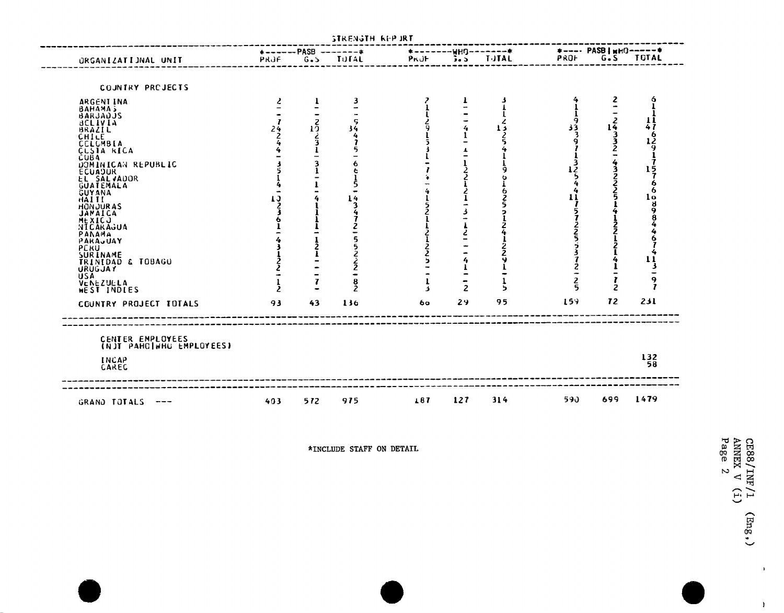| ORGANIZATIONAL UNIT                                                                                                                                                                                                                                                                                                                                                                             | PRJF                                      |                              | $\star$ ------PASB -------+<br>G.S TOTAL | PROF | *-------WHQ-------*               | $5.5$ $IJIAL$ | PROF <sub>2</sub>   | *---- PASB   wHQ-----*<br>G.S TOTAL |                              |
|-------------------------------------------------------------------------------------------------------------------------------------------------------------------------------------------------------------------------------------------------------------------------------------------------------------------------------------------------------------------------------------------------|-------------------------------------------|------------------------------|------------------------------------------|------|-----------------------------------|---------------|---------------------|-------------------------------------|------------------------------|
| COUNTRY PREJECTS                                                                                                                                                                                                                                                                                                                                                                                |                                           |                              |                                          |      |                                   |               |                     |                                     |                              |
| ARGENT INA<br>BAHAMA 5<br>BARJADJS<br><b>BCLIVIA</b><br><b>BRAZIL</b><br>CHILE<br><b>CCLUMBIA</b><br>CLSIA RICA<br><b>CUBA</b><br>DOMINICAN REPUBLIC<br><b>ECUADUR</b><br><b>EL SALVADOR</b><br>GÜATEMALA<br><b>GUYANA</b><br>HAITE.<br><b>HONJURAS</b><br><b>JAMAICA</b><br><b>MEXICJ</b><br>NICARAGUA<br>PANAMA<br>PARAUUAY<br><b>PERU</b><br>SURINAME<br>TRINIDAD & TOBAGO<br><b>URUGJAY</b> | $\mathbf{z}$<br>24<br>$\frac{2}{4}$<br>IJ | $1^{2}_{2}$<br>$\frac{2}{3}$ | 3<br>34                                  | ر    | T.<br>4                           | з<br>د ا      | 9<br>33             | z<br>$\frac{1}{2}$<br>$rac{4}{2}$   | 6<br>14 1917576608984467413- |
| <b>USA</b><br>VENEZUELA<br>WEST INDIES                                                                                                                                                                                                                                                                                                                                                          |                                           |                              |                                          | 4    | $\qquad \qquad$<br>$\overline{2}$ | ъ             | $\overline{2}$<br>5 | 2                                   | 9<br>7                       |
| COUNTRY PROJECT TOTALS                                                                                                                                                                                                                                                                                                                                                                          | 93                                        | 43                           | 136                                      | 60   | 29                                | 95            | 15 <sup>3</sup>     | 72                                  | 231                          |

\*INCLUDE STAFF ON DETAIL

CE88/INF/1<br>ANNEX V (i)<br>Page 2  $(\text{Eng.})$ 

 $\Lambda$ 

 $\mathcal{Y}$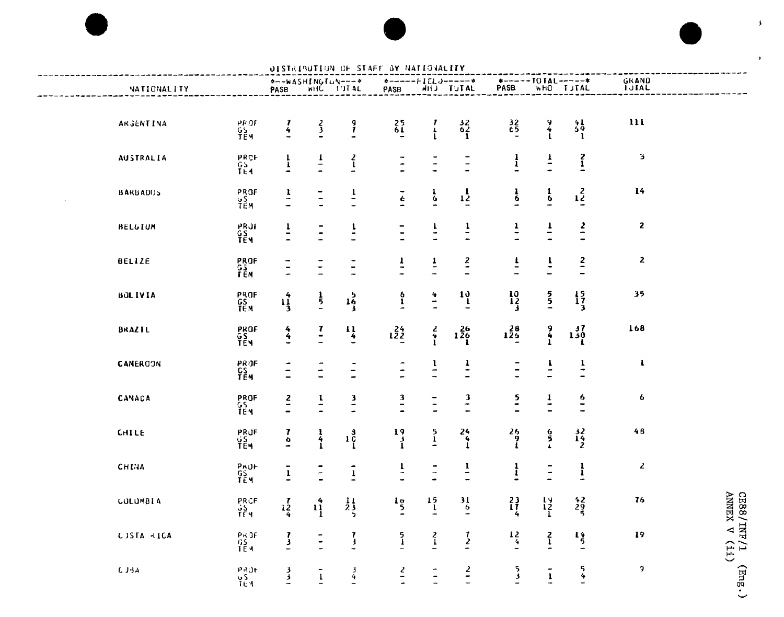

|                                                                                                                                                                                                                                                                                                                                                                                         |                          |                          |                                          |                                                                                                                                 | DISTRIBUTION OF STAFF BY NATIONALITY     |                                            |                                          |                                             |                                            |                                              |                       |                            |
|-----------------------------------------------------------------------------------------------------------------------------------------------------------------------------------------------------------------------------------------------------------------------------------------------------------------------------------------------------------------------------------------|--------------------------|--------------------------|------------------------------------------|---------------------------------------------------------------------------------------------------------------------------------|------------------------------------------|--------------------------------------------|------------------------------------------|---------------------------------------------|--------------------------------------------|----------------------------------------------|-----------------------|----------------------------|
| NATIONALITY                                                                                                                                                                                                                                                                                                                                                                             |                          |                          |                                          | *--WASHINGTON---*<br>PASB WHC TITAL                                                                                             | PASB                                     |                                            | <b>AHJ TUTAL</b>                         | $*-----TOIAL----*$<br>PASB                  |                                            | WHO TUTAL                                    | GRAND<br><b>TUTAL</b> |                            |
| ARGENTINA                                                                                                                                                                                                                                                                                                                                                                               | 모음<br>이 사용<br>이 사용자      | $\frac{7}{4}$            | $\frac{2}{3}$                            | $\frac{9}{l}$                                                                                                                   | $^{25}_{61}$                             | $\frac{7}{4}$                              | $rac{32}{62}$                            | $\begin{array}{c} 32 \\ 65 \end{array}$     | $\frac{9}{4}$                              | $^{41}_{59}$<br>-1                           | 111                   |                            |
| <b>AUSTRALIA</b>                                                                                                                                                                                                                                                                                                                                                                        | PRCF<br>$rac{65}{164}$   | $\frac{1}{1}$            | $\frac{1}{1}$                            | $\frac{2}{1}$                                                                                                                   | $\frac{1}{2}$                            | $\overline{a}$                             | $\frac{1}{1}$                            | $\frac{1}{1}$                               | $\mathbf{r}$<br>$\overline{\phantom{a}}$   | $\frac{2}{1}$                                | $\mathbf 3$           |                            |
| <b>BARBADOS</b>                                                                                                                                                                                                                                                                                                                                                                         | PROF<br>YS<br>TEM        | $\frac{1}{1}$            | $\frac{1}{2}$                            | $\frac{1}{2}$                                                                                                                   | $\tilde{\epsilon}$                       | $\frac{1}{6}$                              | $1\frac{1}{2}$                           | $\frac{1}{6}$                               | $\frac{1}{6}$                              | $\frac{2}{2}$                                | 14                    |                            |
| <b>BELGIUM</b>                                                                                                                                                                                                                                                                                                                                                                          | PRJI<br>GS<br>TEM        | $\frac{1}{1}$            |                                          | $\frac{1}{2}$                                                                                                                   |                                          | $\frac{1}{1}$                              | $\frac{1}{1}$                            | $\frac{1}{2}$                               | $\frac{1}{\epsilon}$                       | $\frac{2}{1}$                                | $\mathbf{z}$          |                            |
| BELIZE                                                                                                                                                                                                                                                                                                                                                                                  | PROF<br>G3<br>TEM        | $\overline{\phantom{a}}$ | $\overline{\phantom{a}}$                 | $\overline{\phantom{a}}$                                                                                                        | $\frac{1}{2}$                            | $\frac{1}{x}$                              | $\frac{2}{\pi}$                          | $\frac{1}{1}$                               | $\overline{1}$                             | $\frac{2}{\pi}$                              | $\mathbf{z}$          |                            |
| <b>BOLIVIA</b>                                                                                                                                                                                                                                                                                                                                                                          | PROF<br>GS<br>TEM        | $1\frac{4}{3}$           | $\frac{1}{5}$                            | $\begin{array}{c} \n \stackrel{5}{\phantom{0}} \\ \n \stackrel{16}{\phantom{0}} \\ \n \stackrel{1}{\phantom{0}} \n \end{array}$ | $\frac{6}{1}$                            | $\frac{4}{1}$                              | $\frac{10}{1}$                           | $\frac{10}{12}$                             | $\frac{5}{5}$                              | $\begin{array}{c} 15 \\ 17 \\ 3 \end{array}$ | 35                    |                            |
| BRAZIL                                                                                                                                                                                                                                                                                                                                                                                  | PROF<br>GS<br>TEM        | $\frac{4}{4}$            | $\mathbf{r}$<br>$\overline{\phantom{a}}$ | $\frac{11}{4}$                                                                                                                  | $12^{24}_{22}$                           | $\begin{array}{c} 2 \\ 4 \\ 1 \end{array}$ | $126$<br>$126$                           | 126                                         | $\begin{array}{c} 9 \\ 4 \\ 1 \end{array}$ | $\frac{37}{130}$                             | 168                   |                            |
| CAMEROON                                                                                                                                                                                                                                                                                                                                                                                | PROF<br>$rac{GS}{TEM}$   | $\overline{\phantom{a}}$ | $\overline{a}$                           | $\frac{1}{2}$                                                                                                                   | $\frac{1}{2}$                            | $\frac{1}{1}$                              | $\frac{1}{1}$                            |                                             | $\mathbf{r}$                               | $\frac{1}{1}$                                | $\mathbf{I}$          |                            |
| CANADA                                                                                                                                                                                                                                                                                                                                                                                  | PROF<br>GS<br>TEM        | $\frac{2}{\pi}$          | X,                                       | $\frac{3}{1}$                                                                                                                   | $\frac{3}{1}$                            | $\frac{1}{1}$                              | $\frac{3}{4}$                            | $\frac{5}{1}$                               | $\frac{1}{1}$                              | 6                                            | 6                     |                            |
| CHILE                                                                                                                                                                                                                                                                                                                                                                                   | PRUF<br>$\frac{GS}{TEM}$ | 7<br>$\frac{6}{1}$       | $\frac{1}{4}$                            | $10^{3}$                                                                                                                        | $\frac{19}{1}$                           | $\frac{5}{1}$                              | $24$<br>4<br>1                           | $\begin{array}{c} 26 \\ 9 \\ 1 \end{array}$ | $\frac{6}{5}$                              | $\frac{32}{14}$                              | 48                    |                            |
| CHINA                                                                                                                                                                                                                                                                                                                                                                                   | PRUF<br>GS<br>TËM        | $\overline{1}$           |                                          | $\overline{1}$                                                                                                                  | $\frac{1}{1}$                            | $\frac{1}{2}$                              | $\frac{1}{1}$                            | $\frac{1}{1}$                               | $\frac{1}{2}$                              | $\frac{1}{1}$                                | $\boldsymbol{z}$      |                            |
| <b>COLOMBIA</b>                                                                                                                                                                                                                                                                                                                                                                         | PRCF<br>VS<br>TEM        | $\frac{7}{4}$            | $\mathbf{u}_1^4$                         | $\begin{array}{c} 11 \\ 23 \\ 5 \end{array}$                                                                                    | $\begin{array}{c}\n19 \\ 5\n\end{array}$ | $\frac{15}{1}$                             | $\begin{array}{c}\n31 \\ 6\n\end{array}$ | $\frac{23}{17}$                             | $\frac{19}{12}$                            | $\frac{42}{29}$                              | 76                    |                            |
| CJSTA <ica< td=""><td>PROF<br/>GS<br/>TEM</td><td><math>\frac{1}{2}</math></td><td></td><td><math>\frac{7}{1}</math></td><td><math>\frac{5}{1}</math></td><td><math>\frac{2}{1}</math></td><td><math>\frac{7}{2}</math></td><td><math>\frac{12}{4}</math></td><td><math>\frac{2}{1}</math></td><td><math>\frac{14}{5}</math></td><td>19</td><td>CE88/INF/1<br/>ANNEX V (ii)</td></ica<> | PROF<br>GS<br>TEM        | $\frac{1}{2}$            |                                          | $\frac{7}{1}$                                                                                                                   | $\frac{5}{1}$                            | $\frac{2}{1}$                              | $\frac{7}{2}$                            | $\frac{12}{4}$                              | $\frac{2}{1}$                              | $\frac{14}{5}$                               | 19                    | CE88/INF/1<br>ANNEX V (ii) |
| $C$ JBA                                                                                                                                                                                                                                                                                                                                                                                 | PRUF<br>95<br>TEM        | $\frac{3}{3}$            | $\mathbf{I}$                             | $\frac{3}{4}$                                                                                                                   | $\frac{2}{1}$                            |                                            | $\frac{2}{1}$                            | $\frac{5}{3}$                               | $\overline{1}$                             | $\frac{5}{4}$                                | $\Delta$              | $g_{\text{uI}}$            |

### IDJITION OF CLASS AV MATICIALITY

CE88/INF/1  $(\text{m}$ 8.)  $\mathbf{r}$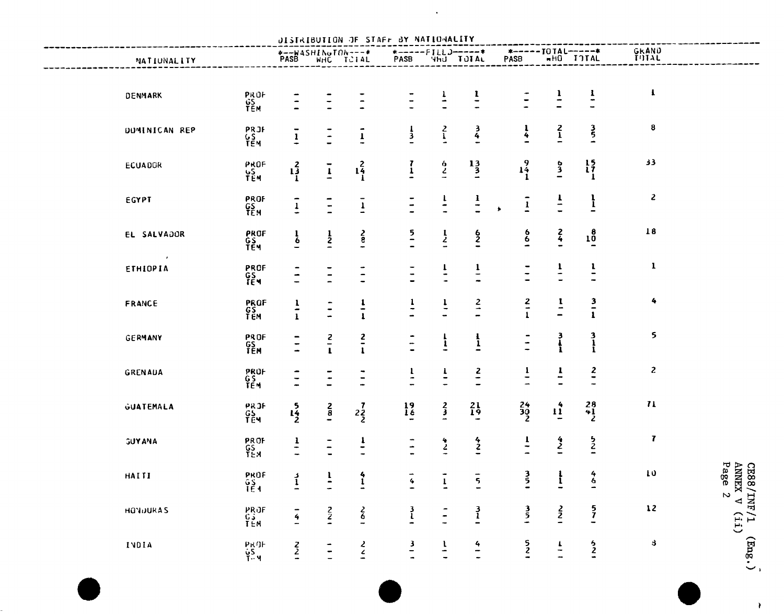|                 |                                        |                                  |                                                   |                 | DISTRIBUTION OF STAFF BY NATIONALITY |                                |                                       |                                      |                |                                              |                  |                                                                                                       |
|-----------------|----------------------------------------|----------------------------------|---------------------------------------------------|-----------------|--------------------------------------|--------------------------------|---------------------------------------|--------------------------------------|----------------|----------------------------------------------|------------------|-------------------------------------------------------------------------------------------------------|
| NATIONALITY     |                                        |                                  | <b><i>*--WASHINGTON---*</i></b><br>PASB WHC TCIAL |                 |                                      |                                | *------FILLJ------*<br>PASB 4HJ TJIAL | *----- IOTAL-----*<br>PASB #HO IOTAL |                |                                              | GRAND<br>TOTAL   |                                                                                                       |
| DENMARK         |                                        |                                  |                                                   |                 |                                      |                                | $\frac{1}{1}$                         |                                      | $\overline{1}$ |                                              | $\mathbf{I}$     |                                                                                                       |
| DUMINICAN REP   | PROF<br>GS<br>TEM                      |                                  |                                                   | $\frac{1}{4}$   | $\frac{1}{3}$                        | $\frac{2}{1}$                  | $\frac{3}{4}$                         | $\frac{1}{4}$                        | $\frac{2}{1}$  | $\frac{3}{5}$                                | $\pmb{8}$        |                                                                                                       |
| <b>ECUADOR</b>  | PRJF<br>GS<br>TEM<br>PROF<br>YS<br>TEM | $\overline{1}$<br>$1\frac{2}{1}$ | $\frac{1}{2}$<br>$\overline{1}$                   | $1\frac{2}{1}$  | $\frac{7}{1}$                        | $\frac{6}{2}$                  | $\frac{13}{3}$                        | $1\frac{9}{1}$                       | $\frac{5}{3}$  | $\begin{array}{c} 15 \\ 17 \\ 1 \end{array}$ | 33               |                                                                                                       |
| EGYPT           | PROF<br>GS<br>TEM                      | $\frac{1}{1}$                    | $\overline{z}$                                    | $\overline{1}$  | $\frac{1}{2}$                        | $\frac{1}{2}$                  | $\frac{1}{1}$                         | $\overline{1}$                       | $\frac{1}{1}$  | $\mathbf{I}$                                 | $\mathbf{z}$     |                                                                                                       |
| EL SALVADOR     | PROF<br>GS<br>TEM                      | $\frac{1}{6}$                    | $\frac{1}{2}$                                     | $rac{2}{1}$     | $\frac{5}{1}$                        | $\frac{1}{2}$                  | $\frac{6}{2}$                         | $\frac{6}{6}$                        | $\frac{2}{4}$  | $10^{8}$                                     | $18\,$           |                                                                                                       |
| ETHIOPIA        | PROF<br>GS<br>TEM                      | $\overline{\phantom{a}}$         |                                                   | $\frac{1}{2}$   | $\blacksquare$                       | $\mathbf{r}$<br>$\blacksquare$ | $\frac{1}{1}$                         | $\overline{a}$                       | $\frac{1}{1}$  | $\mathbf{I}$<br>$\blacksquare$               | $\mathbf{I}$     |                                                                                                       |
| FRANCE          | PROF<br>GS<br>TEM                      | $\frac{1}{1}$                    | $\frac{1}{2}$                                     | $\frac{1}{1}$   | $\frac{1}{1}$                        | $\frac{1}{1}$                  | $\frac{2}{1}$                         | $rac{2}{1}$                          | $\frac{1}{1}$  | $\frac{3}{2}$                                | 4                |                                                                                                       |
| GERMANY         | PROF<br>GS<br>TEM                      |                                  | $\frac{2}{1}$                                     | $\frac{2}{\pi}$ | $\overline{a}$                       | $\mathbf{r}$                   | $\frac{1}{1}$                         |                                      | 3<br>}<br>}    | $\frac{3}{1}$                                | 5                |                                                                                                       |
| GRENAUA         | PROF<br>GS<br>TEM                      | $\frac{1}{2}$                    | ۰                                                 | $\blacksquare$  | $\mathbf{I}$<br>$\ddot{\phantom{a}}$ | $\mathbf{r}$                   | $rac{2}{1}$                           | J,                                   | $\frac{1}{1}$  | $\frac{2}{\pi}$                              | $\boldsymbol{z}$ |                                                                                                       |
| GUATEMALA       | PRJF<br>GS<br>TEM                      | $1\frac{5}{2}$                   | $rac{2}{8}$                                       | $2\frac{7}{2}$  | $\frac{19}{16}$                      | $\frac{2}{3}$                  | $^{21}_{19}$                          | $\frac{24}{30}$                      | $\mathbf{11}$  | $28$<br>$41$<br>$2$                          | $\mathbf{u}$     |                                                                                                       |
| <b>GUYANA</b>   | PROF<br>GS<br>TEM                      | $\frac{1}{1}$                    | $\overline{\phantom{a}}$                          | $\frac{1}{\pi}$ | $\frac{1}{1}$                        | $\frac{4}{2}$                  | $\frac{4}{2}$                         | $\frac{1}{\pi}$                      | $\frac{4}{2}$  | $\frac{5}{2}$                                | $\mathbf{7}$     |                                                                                                       |
| HAITI           | PROF<br>$rac{65}{154}$                 | $\frac{3}{1}$                    | $\overline{1}$                                    | $\frac{4}{1}$   | $\boldsymbol{q}$                     | $\mathbf{1}$                   | $\overline{5}$                        | 3<br>5                               | $\frac{1}{1}$  | $\frac{4}{6}$                                | 10               | $\begin{array}{cc}\textrm{CR88/TNF/} \\ \textrm{AMWRX} & \textrm{V} \\ \textrm{Page} & 2 \end{array}$ |
| <b>HONDURAS</b> | PROF<br>G3<br>TEM                      | $\frac{1}{4}$                    | $\frac{2}{2}$                                     | $rac{2}{6}$     | $\frac{3}{l}$                        | Ξ                              | $\frac{3}{1}$                         | $\frac{3}{5}$                        | $\frac{2}{2}$  | $\frac{5}{7}$                                | $\frac{12}{2}$   |                                                                                                       |
| INDIA           | PROF<br>GS<br>T-M                      | $\frac{2}{2}$                    |                                                   | $\frac{2}{5}$   | $\frac{3}{1}$                        | $\overline{1}$                 | $\frac{4}{1}$                         | $\frac{5}{2}$                        | $\frac{1}{1}$  | $\frac{6}{2}$                                | 8                | $\begin{pmatrix} 1 & \text{diag} \end{pmatrix}$                                                       |

 $\sim 10^{11}$  km  $^{-1}$ 

 $\overline{\phantom{a}}$ 

 $\langle \rangle$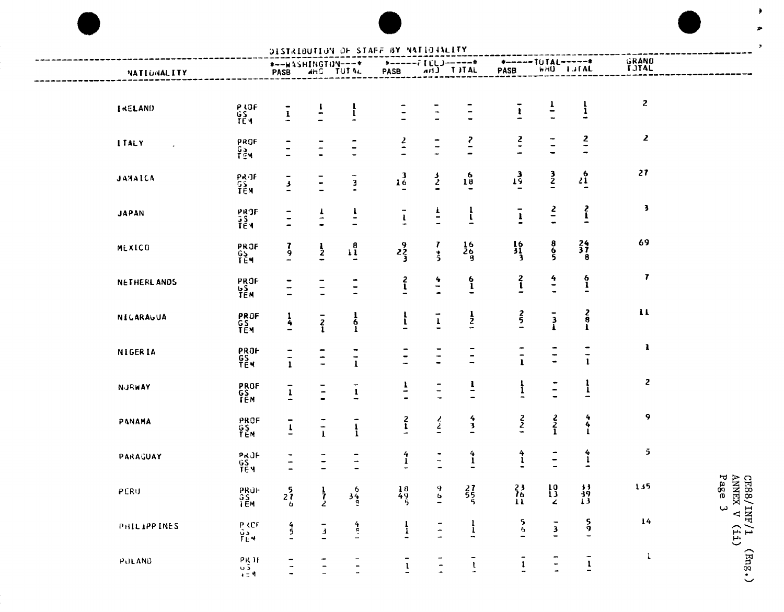| DISTRIBUTION OF STAFF BY NATIONALITY |                                                   |                           |                          |                                            |                                          |                                                 |                 |                                                  |                                       |                                   |                       |                                             |
|--------------------------------------|---------------------------------------------------|---------------------------|--------------------------|--------------------------------------------|------------------------------------------|-------------------------------------------------|-----------------|--------------------------------------------------|---------------------------------------|-----------------------------------|-----------------------|---------------------------------------------|
| NATIONALITY                          |                                                   | *--WASHINGTON---*<br>PASB | <b>AHO TUTAL</b>         |                                            | PASB                                     | $*$ ------ $F[L]$ )------ $*$<br>PASB and TJTAL |                 | PASB                                             | *-----TUTAL-----*<br><b>WHO</b> LJTAL |                                   | GRAND<br><b>TUTAL</b> |                                             |
| <b>IRELAND</b>                       | P IOF<br>GS<br>TEM                                | $\frac{1}{4}$             |                          | $\frac{1}{1}$                              |                                          |                                                 | $\frac{1}{1}$   | $\pmb{\cdot}$                                    | $\overline{1}$                        | $\frac{1}{1}$                     | 2                     |                                             |
| <b>ITALY</b>                         | PROF<br>$\frac{G_3}{154}$                         |                           |                          |                                            | $\frac{2}{1}$                            |                                                 | $\frac{2}{1}$   | $\frac{2}{7}$                                    |                                       | $\frac{2}{1}$                     | $\mathbf{z}$          |                                             |
| JAMAICA                              | РКЛЕ<br>GS<br>ТЕМ                                 | $\frac{3}{4}$             |                          | $\overline{\mathbf{3}}$                    | 1 <sup>3</sup>                           | $\frac{3}{2}$                                   | 1 <sup>6</sup>  | 13                                               | $\frac{3}{2}$                         | $^{6}_{21}$                       | 27                    |                                             |
| <b>JAPAN</b>                         | PRJF<br>ŞŞ<br>TEM                                 | $\overline{a}$            | $\overline{r}$           | $\cdot$<br>$\qquad \qquad \blacksquare$    | $\overline{\phantom{m}}$<br>$\mathbf{l}$ | $\frac{1}{\pi}$                                 | $\frac{1}{1}$   | -<br>$\pmb{\cdot}$                               | $rac{2}{\pi}$                         | $\frac{2}{1}$                     | 3                     |                                             |
| MEXICO                               | <b>PROF<br/>GS<br/>TEM</b>                        | $\frac{7}{9}$             | $\frac{1}{2}$            | $1^{8}_{1}$                                | $2\frac{9}{3}$                           | T<br>$\frac{1}{2}$                              | $\frac{16}{26}$ | $\frac{16}{31}$                                  | $rac{8}{5}$                           | $\frac{24}{37}$                   | 69                    |                                             |
| <b>NETHERLANDS</b>                   | PROF<br><b>US</b><br>TEM                          |                           | Ξ                        | $\overline{\phantom{a}}$                   | $\frac{2}{1}$                            | $\frac{4}{1}$                                   | $\frac{6}{1}$   | $\frac{2}{1}$                                    | $\frac{4}{1}$                         | $\frac{6}{1}$                     | 7                     |                                             |
| NICARAGUA                            | PROF<br>GS<br>TEM                                 | $\frac{1}{4}$             | $\overline{z}$           | $\begin{array}{c} 1 \\ 6 \\ 1 \end{array}$ | $\mathbf{r}$                             | $\mathbf{I}$                                    | $\frac{1}{2}$   | $rac{2}{5}$                                      | $\frac{3}{1}$                         | $\frac{2}{8}$<br>$\mathbf{I}$     | $\mathbf{11}$         |                                             |
| <b>NIGERIA</b>                       | <b>PROF<br/>GS<br/>TEM</b>                        | $\frac{1}{1}$             | $\frac{1}{2}$            | $\frac{1}{1}$                              | $\overline{\phantom{0}}$                 | $\ddot{\phantom{a}}$                            | $\blacksquare$  | $\qquad \qquad \bullet$<br>$\mathbf{I}$          |                                       | $\frac{1}{1}$                     | 1                     |                                             |
| <b>NJRWAY</b>                        | PROF<br>GS<br>TEM                                 | $\mathbf 1$               | $\overline{z}$           | $\mathbf{I}$                               | $\overline{1}$                           | $\overline{\phantom{a}}$                        | $\overline{1}$  | $\frac{1}{1}$                                    | $\ddot{=}$                            | $\frac{1}{1}$                     | $\mathbf{z}$          |                                             |
| PANAMA                               | PROF<br>GS<br>TEM                                 | -<br>$\mathbf{1}$         | $\frac{1}{1}$            | $\frac{1}{1}$                              | $\frac{2}{1}$                            | $\frac{2}{2}$                                   | $\frac{4}{3}$   | $\frac{2}{2}$                                    | $rac{2}{1}$                           | 4<br>4                            | 9                     |                                             |
| PARAGUAY                             | PRJF<br>GS<br>TEM                                 |                           | $\frac{1}{2}$            | $\frac{1}{1}$                              | $\frac{4}{1}$                            | $\overline{\phantom{a}}$                        | $\frac{4}{1}$   | $\frac{4}{1}$                                    | $\overline{\phantom{a}}$              | $\frac{4}{1}$                     | 5                     |                                             |
| PERU                                 | PROF<br>GS<br>TEM                                 | 5.<br>$\frac{27}{6}$      | $\frac{1}{7}$            | $3\frac{6}{9}$                             | $\frac{18}{49}$                          | $\frac{9}{4}$                                   | $\frac{27}{55}$ | 23<br>$\frac{76}{11}$                            | 10<br>$\frac{13}{2}$                  | $\overline{1}$<br>$\frac{39}{13}$ | 135                   | CE88/INF/1 (Eng.)<br>ANNEX V (11)<br>Page 3 |
| PHILIPPINES                          | PROF<br>Va<br>TEM                                 | $rac{4}{5}$               | $\frac{1}{3}$            | $\ddot{\bullet}$                           | $\frac{1}{1}$                            | $\frac{1}{2}$                                   | $\frac{1}{1}$   | $\frac{5}{6}$                                    | $\overline{3}$                        | $\frac{5}{9}$                     | 14                    |                                             |
| PULAND                               | $\begin{array}{c} 0.11 \\ 0.2 \\ 0.3 \end{array}$ |                           | $\overline{\phantom{0}}$ | $\overline{\phantom{a}}$                   | $\overline{\mathbf{1}}$                  | $\frac{1}{2}$                                   | $\frac{1}{4}$   | $\overline{\phantom{a}}$<br>$\frac{1}{\sqrt{2}}$ | $\frac{1}{2}$                         | $\overline{1}$                    | $\mathbf{1}$          |                                             |

 $\blacktriangleright$ 

 $\overline{z}$